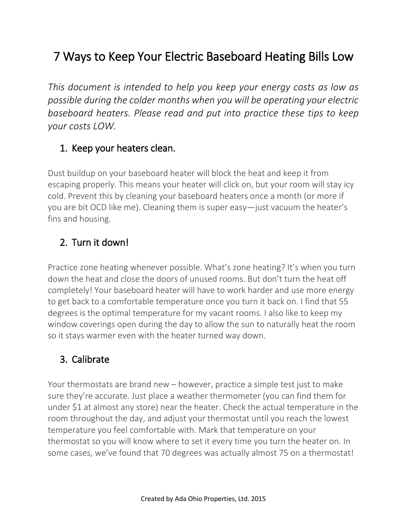# 7 Ways to Keep Your Electric Baseboard Heating Bills Low

*This document is intended to help you keep your energy costs as low as possible during the colder months when you will be operating your electric baseboard heaters. Please read and put into practice these tips to keep your costs LOW.*

#### 1. Keep your heaters clean.

Dust buildup on your baseboard heater will block the heat and keep it from escaping properly. This means your heater will click on, but your room will stay icy cold. Prevent this by cleaning your baseboard heaters once a month (or more if you are bit OCD like me). Cleaning them is super easy—just vacuum the heater's fins and housing.

#### 2. Turn it down!

Practice zone heating whenever possible. What's zone heating? It's when you turn down the heat and close the doors of unused rooms. But don't turn the heat off completely! Your baseboard heater will have to work harder and use more energy to get back to a comfortable temperature once you turn it back on. I find that 55 degrees is the optimal temperature for my vacant rooms. I also like to keep my window coverings open during the day to allow the sun to naturally heat the room so it stays warmer even with the heater turned way down.

#### 3. Calibrate

Your thermostats are brand new – however, practice a simple test just to make sure they're accurate. Just place a weather thermometer (you can find them for under \$1 at almost any store) near the heater. Check the actual temperature in the room throughout the day, and adjust your thermostat until you reach the lowest temperature you feel comfortable with. Mark that temperature on your thermostat so you will know where to set it every time you turn the heater on. In some cases, we've found that 70 degrees was actually almost 75 on a thermostat!